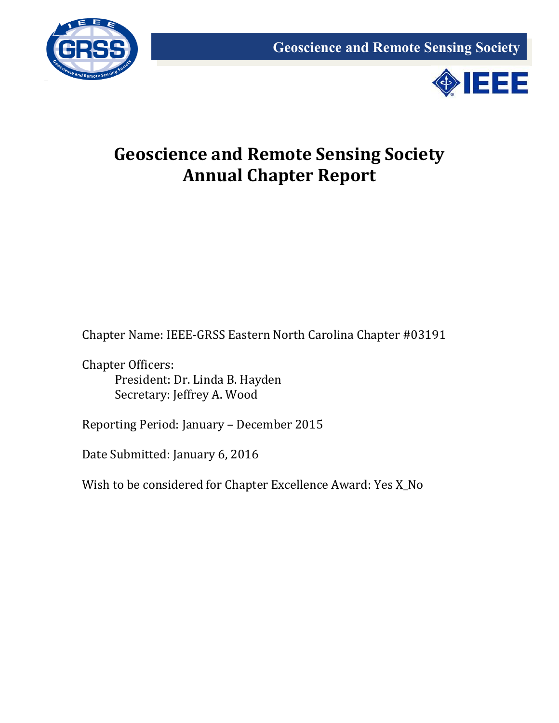



# **Geoscience and Remote Sensing Society Annual Chapter Report**

Chapter Name: IEEE-GRSS Eastern North Carolina Chapter #03191

Chapter Officers: President: Dr. Linda B. Hayden Secretary: Jeffrey A. Wood

Reporting Period: January – December 2015

Date Submitted: January 6, 2016

Wish to be considered for Chapter Excellence Award: Yes X No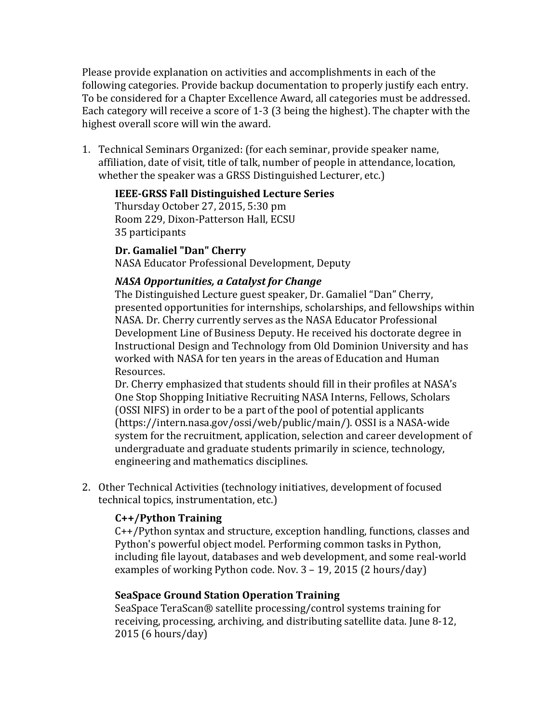Please provide explanation on activities and accomplishments in each of the following categories. Provide backup documentation to properly justify each entry. To be considered for a Chapter Excellence Award, all categories must be addressed. Each category will receive a score of 1-3 (3 being the highest). The chapter with the highest overall score will win the award.

1. Technical Seminars Organized: (for each seminar, provide speaker name, affiliation, date of visit, title of talk, number of people in attendance, location, whether the speaker was a GRSS Distinguished Lecturer, etc.)

## **IEEE-GRSS Fall Distinguished Lecture Series**

Thursday October 27, 2015, 5:30 pm Room 229, Dixon-Patterson Hall, ECSU 35 participants

# **Dr. Gamaliel "Dan" Cherry**

NASA Educator Professional Development, Deputy

## *NASA Opportunities, a Catalyst for Change*

The Distinguished Lecture guest speaker, Dr. Gamaliel "Dan" Cherry, presented opportunities for internships, scholarships, and fellowships within NASA. Dr. Cherry currently serves as the NASA Educator Professional Development Line of Business Deputy. He received his doctorate degree in Instructional Design and Technology from Old Dominion University and has worked with NASA for ten years in the areas of Education and Human Resources.

Dr. Cherry emphasized that students should fill in their profiles at NASA's One Stop Shopping Initiative Recruiting NASA Interns, Fellows, Scholars (OSSI NIFS) in order to be a part of the pool of potential applicants (https://intern.nasa.gov/ossi/web/public/main/). OSSI is a NASA-wide system for the recruitment, application, selection and career development of undergraduate and graduate students primarily in science, technology, engineering and mathematics disciplines.

2. Other Technical Activities (technology initiatives, development of focused technical topics, instrumentation, etc.)

## **C++/Python Training**

C++/Python syntax and structure, exception handling, functions, classes and Python's powerful object model. Performing common tasks in Python, including file layout, databases and web development, and some real-world examples of working Python code. Nov. 3 – 19, 2015 (2 hours/day)

## **SeaSpace Ground Station Operation Training**

SeaSpace TeraScan® satellite processing/control systems training for receiving, processing, archiving, and distributing satellite data. June 8-12, 2015 (6 hours/day)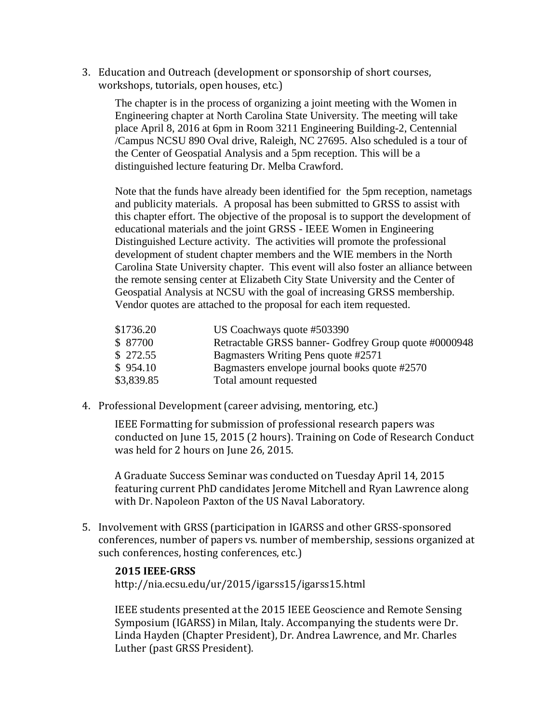3. Education and Outreach (development or sponsorship of short courses, workshops, tutorials, open houses, etc.)

The chapter is in the process of organizing a joint meeting with the Women in Engineering chapter at North Carolina State University. The meeting will take place April 8, 2016 at 6pm in Room 3211 Engineering Building-2, Centennial /Campus NCSU 890 Oval drive, Raleigh, NC 27695. Also scheduled is a tour of the Center of Geospatial Analysis and a 5pm reception. This will be a distinguished lecture featuring Dr. Melba Crawford.

Note that the funds have already been identified for the 5pm reception, nametags and publicity materials. A proposal has been submitted to GRSS to assist with this chapter effort. The objective of the proposal is to support the development of educational materials and the joint GRSS - IEEE Women in Engineering Distinguished Lecture activity. The activities will promote the professional development of student chapter members and the WIE members in the North Carolina State University chapter. This event will also foster an alliance between the remote sensing center at Elizabeth City State University and the Center of Geospatial Analysis at NCSU with the goal of increasing GRSS membership. Vendor quotes are attached to the proposal for each item requested.

| \$1736.20  | US Coachways quote #503390                            |
|------------|-------------------------------------------------------|
| \$87700    | Retractable GRSS banner- Godfrey Group quote #0000948 |
| \$272.55   | Bagmasters Writing Pens quote #2571                   |
| \$954.10   | Bagmasters envelope journal books quote #2570         |
| \$3,839.85 | Total amount requested                                |

4. Professional Development (career advising, mentoring, etc.)

IEEE Formatting for submission of professional research papers was conducted on June 15, 2015 (2 hours). Training on Code of Research Conduct was held for 2 hours on June 26, 2015.

A Graduate Success Seminar was conducted on Tuesday April 14, 2015 featuring current PhD candidates Jerome Mitchell and Ryan Lawrence along with Dr. Napoleon Paxton of the US Naval Laboratory.

5. Involvement with GRSS (participation in IGARSS and other GRSS-sponsored conferences, number of papers vs. number of membership, sessions organized at such conferences, hosting conferences, etc.)

#### **2015 IEEE-GRSS**

http://nia.ecsu.edu/ur/2015/igarss15/igarss15.html

IEEE students presented at the 2015 IEEE Geoscience and Remote Sensing Symposium (IGARSS) in Milan, Italy. Accompanying the students were Dr. Linda Hayden (Chapter President), Dr. Andrea Lawrence, and Mr. Charles Luther (past GRSS President).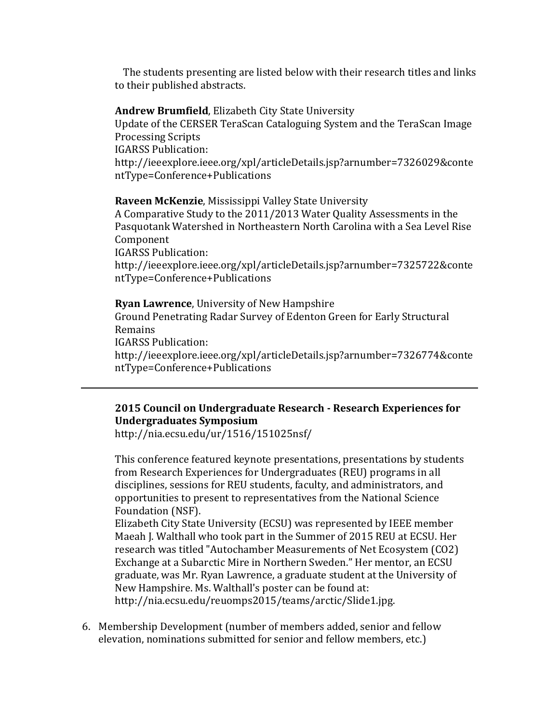The students presenting are listed below with their research titles and links to their published abstracts.

#### **Andrew Brumfield**, Elizabeth City State University

Update of the CERSER TeraScan Cataloguing System and the TeraScan Image Processing Scripts

IGARSS Publication:

http://ieeexplore.ieee.org/xpl/articleDetails.jsp?arnumber=7326029&conte ntType=Conference+Publications

**Raveen McKenzie**, Mississippi Valley State University

A Comparative Study to the 2011/2013 Water Quality Assessments in the Pasquotank Watershed in Northeastern North Carolina with a Sea Level Rise Component

IGARSS Publication:

http://ieeexplore.ieee.org/xpl/articleDetails.jsp?arnumber=7325722&conte ntType=Conference+Publications

#### **Ryan Lawrence**, University of New Hampshire

Ground Penetrating Radar Survey of Edenton Green for Early Structural Remains

IGARSS Publication:

http://ieeexplore.ieee.org/xpl/articleDetails.jsp?arnumber=7326774&conte ntType=Conference+Publications

# **2015 Council on Undergraduate Research - Research Experiences for Undergraduates Symposium**

http://nia.ecsu.edu/ur/1516/151025nsf/

This conference featured keynote presentations, presentations by students from Research Experiences for Undergraduates (REU) programs in all disciplines, sessions for REU students, faculty, and administrators, and opportunities to present to representatives from the National Science Foundation (NSF).

Elizabeth City State University (ECSU) was represented by IEEE member Maeah J. Walthall who took part in the Summer of 2015 REU at ECSU. Her research was titled "Autochamber Measurements of Net Ecosystem (CO2) Exchange at a Subarctic Mire in Northern Sweden." Her mentor, an ECSU graduate, was Mr. Ryan Lawrence, a graduate student at the University of New Hampshire. Ms. Walthall's poster can be found at: http://nia.ecsu.edu/reuomps2015/teams/arctic/Slide1.jpg.

6. Membership Development (number of members added, senior and fellow elevation, nominations submitted for senior and fellow members, etc.)